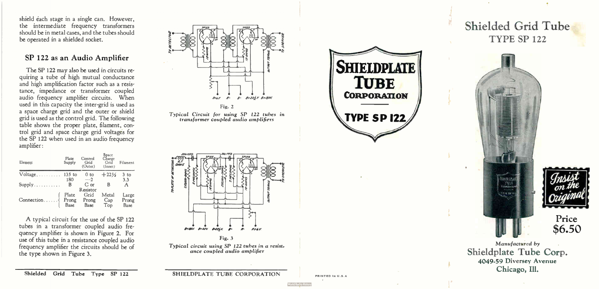shield éach stage in a single can. However, the intermediate frequency transformers should be in metal cases, and the tubes should be operated in a shielded socket.

#### SP 122 as an Audio Amplifier

The SP 122 may also be used in circuits requiring a tube of high mutual conductance and high amplification factor such as a resistance, impedance or transformer coupled audio frequency amplifier circuits. When used in this capacity the inter-grid is used as a space charge grid and the outer or shield grid is used as the control grid. The following table shows the proper plate, filament, control grid and space charge grid voltages for the SP 122 when used in an audio frequency amplifier:

| Element        | Plate<br>Supply | Control<br>Grid<br>(Outer) | <b>Space</b><br>Charge<br>Grid<br>(Inner) | Filament |
|----------------|-----------------|----------------------------|-------------------------------------------|----------|
| Voltage 135 to |                 | 0 <sub>to</sub>            | $+22\frac{1}{2}$                          | $3$ to   |
|                | 180             | $-2$                       |                                           | 3.3      |
| Supply         | B               | $C$ or                     | B                                         | A        |
|                |                 | Resistor                   |                                           |          |
|                | Plate           | Grid                       | Metal                                     | Large    |
| Connection     | Prong           | Prong                      | $_{\rm Cap}$                              | Prong    |
|                | <b>Base</b>     | Base                       | Top                                       | Base     |

A typical circuit for the use of the SP 122 tubes in a transformer coupled audio frequency amplifier is shown in Figure 2. For use of this tube in a resistance coupled audio frequency amplifier the circuits should be of the type shown in Figure 3.



transformer coupled audio amplifiers



SHIELDPLATE<br>CORPORATION **TYPE SP 122** 

Shielded Grid Tube TYPE SP <sup>122</sup>



Price \$6.50

Manufactured by Shieldplate Tube Corp. 4049-59 Diversey Avenue Chicago, Ill.

Shielded Grid Tube Type SP 122

SHIELDPLATE TUBE CORPORATION

PRINTED IN U.S.A

**World Radio**